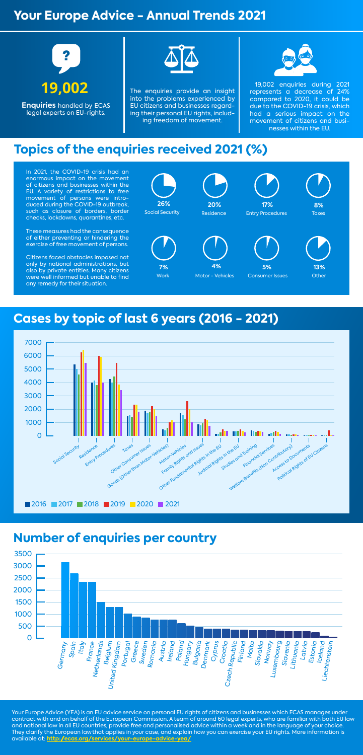# **Your Europe Advice - Annual Trends 2021**

# **Cases by topic of last 6 years (2016 - 2021)**

# **Topics of the enquiries received 2021 (%)**



**Enquiries** handled by ECAS legal experts on EU-rights.



The enquiries provide an insight into the problems experienced by EU citizens and businesses regarding their personal EU rights, including freedom of movement.



 19,002 enquiries during 2021 represents a decrease of 24% compared to 2020, it could be due to the COVID-19 crisis, which had a serious impact on the movement of citizens and businesses within the EU.

In 2021, the COVID-19 crisis had an enormous impact on the movement of citizens and businesses within the EU. A variety of restrictions to free movement of persons were introduced during the COVID-19 outbreak, such as closure of borders, border checks, lockdowns, quarantines, etc.

These measures had the consequence of either preventing or hindering the exercise of free movement of persons.

Citizens faced obstacles imposed not only by national administrations, but also by private entities. Many citizens were well informed but unable to find any remedy for their situation.

Your Europe Advice (YEA) is an EU advice service on personal EU rights of citizens and businesses which ECAS manages under contract with and on behalf of the European Commission. A team of around 60 legal experts, who are familiar with both EU law and national law in all EU countries, provide free and personalised advice within a week and in the language of your choice. They clarify the European lawthat applies in your case, and explain how you can exercise your EU rights. More information is available at: **http://ecas.org/services/your-europe-advice-yea/**



# **Number of enquiries per country**